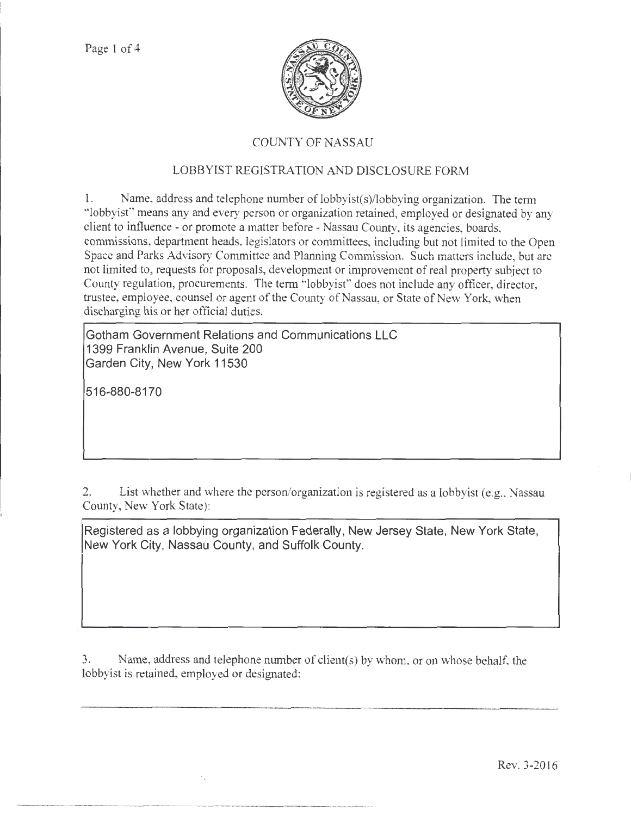

# COUNTY OF NASSAU

# LOBBYIST REGISTRATION AND DISCLOSURE FORM

1. Name. address and telephone number of lobbyist(s)/lobbying organization. The term "lobbyist" means any and every person or organization retained, employed or designated by any client to influence - or promote a matter before- Nassau County, its agencies, boards, commissions, department heads, legislators or committees, including but not limited to the Open Space and Parks Advisory Committee and Planning Commission. Such matters include, but arc not limited to, requests for proposals, development or improvement of real property subject to County regulation, procurements. The term "lobbyist" does not include any officer, director, trustee, employee, counsel or agent of the County of Nassau, or State of New York, when discharging his or her official duties.

**Gotham Government Relations and Communications LLC 1399 Franklin Avenue, Suite 200 Garden City, New York 11530** 

**516-880-8170** 

2. List whether and where the person/organization is registered as a lobbyist (e.g., Nassau County, New York State):

**Registered as a lobbying organization Federally, New Jersey State, New York State, New York City, Nassau County, and Suffolk County.** 

3. Name, address and telephone number of client(s) by whom, or on whose behalf, the lobbyist is retained, employed or designated: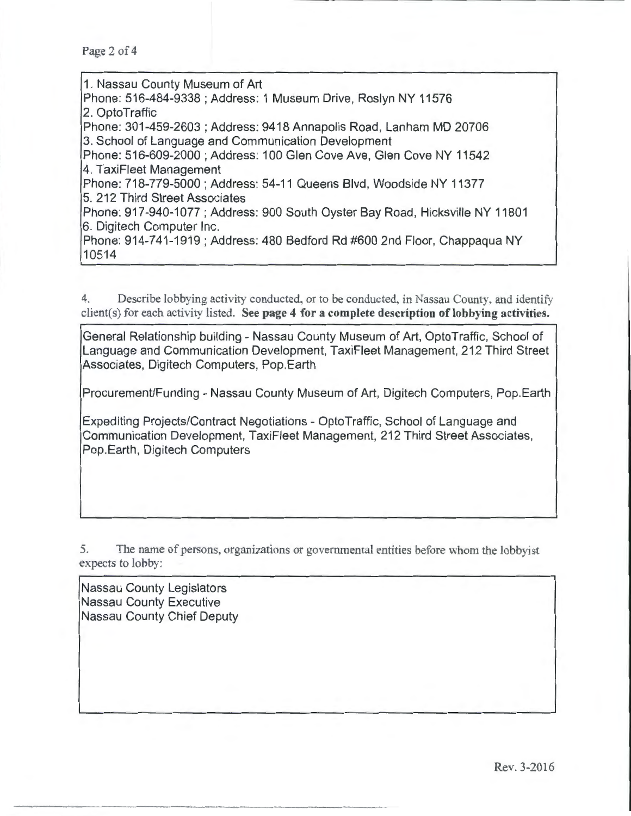Page 2 of 4

1. Nassau County Museum of Art Phone: 516-484-9338; Address: 1 Museum Drive, Roslyn NY 11576 2. OptoTraftic Phone: 301-459-2603 ; Address: 9418 Annapolis Road, Lanham MD 20706 3. School of Language and Communication Development Phone: 516-609-2000 ; Address: 100 Glen Cove Ave, Glen Cove NY 11542 4. TaxiFieet Management Phone: 718-779-5000; Address: 54-11 Queens Blvd, Woodside NY 11377 5. 212 Third Street Associates Phone: 917-940-1077 ; Address: 900 South Oyster Bay Road, Hicksville NY 11801 6. Digitech Computer Inc. Phone: 914-741-1919; Address: 480 Bedford Rd #600 2nd Floor, Chappaqua NY 10514

4. Describe lobbying activity conducted, or to be conducted, in Nassau County, and identify client(s) for each activity listed. See page 4 for a complete description of lobbying activities.

General Relationship building- Nassau County Museum of Art, OptoTraftic, School of Language and Communication Development, TaxiFieet Management, 212 Third Street Associates, Digitech Computers, Pop.Earth

ProcuremenUFunding- Nassau County Museum of Art, Digitech Computers, Pop.Earth

Expediting Projects/Contract Negotiations- OptoTraftic, School of Language and Communication Development, TaxiFieet Management, 212 Third Street Associates, Pop.Earth, Digitech Computers

5. The name of persons, organizations or governmental entities before whom the lobbyist expects to lobby:

Nassau County Legislators Nassau County Executive Nassau County Chief Deputy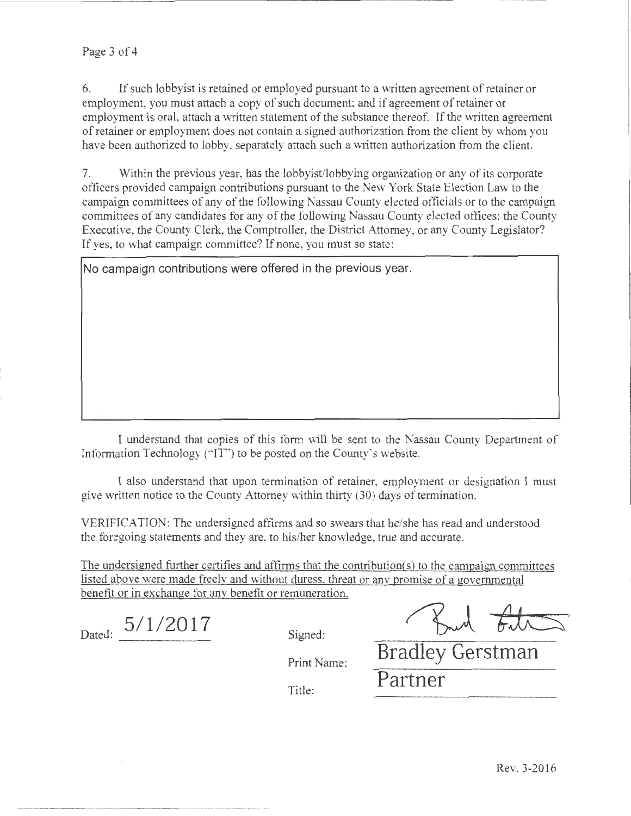6. If such lobbyist is retained or employed pursuant to a written agreement of retainer or employment, you must attach a copy of such document; and if agreement of retainer or employment is oral, attach a written statement of the substance thereof. If the written agreement of retainer or employment does not contain a signed authorization from the client by whom you have been authorized to lobby, separately attach such a written authorization from the client.

7. Within the previous year, has the lobbyist/lobbying organization or any of its corporate officers provided campaign contributions pursuant to the New York State Election Law to the campaign committees of any of the following Nassau County elected officials or to the campaign committees of any candidates tor any of the following Nassau County elected offices: the County Executive, the County Clerk, the Comptroller, the District Attorney, or any County Legislator? If yes, to what campaign committee? If none, you must so state:

**No campaign contributions were offered in the previous year.** 

I understand that copies of this form will be sent to the Nassau County Department of Information Technology ("IT") to be posted on the County's website.

I also understand that upon termination of retainer, employment or designation I must give written notice to the County Attorney within thirty (30) days of termination.

VERIFICATION: The undersigned affirms and so swears that he/she has read and understood the foregoing statements and they are, to his/her knowledge, true and accurate.

The undersigned further certifies and affirms that the contribution(s) to the campaign committees listed above were made freely and without duress, threat or any promise of a governmental benefit or in exchange for any benefit or remuneration.

Dated:  $5/1/2017$  Signed:

Shad the

Print Name:

Title:

**Bradley Gerstman Partner**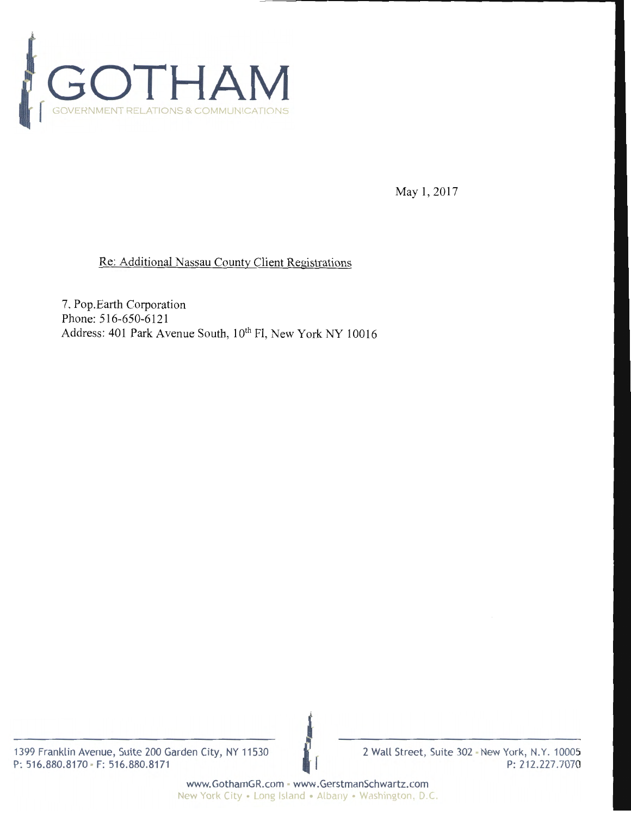

May 1, 2017

## Re: Additional Nassau County Client Registrations

7. Pop.Earth Corporation Phone: 516-650-6121 Address: 401 Park Avenue South, 10<sup>th</sup> Fl, New York NY 10016

1399 Franklin Avenue, Suite 200 Garden City, NY 11530 P: 516.880.8170 • F: 516.880.8171

2 Wall Street, Suite 302 - New York, N.Y. 10005 P: 212.227.7070